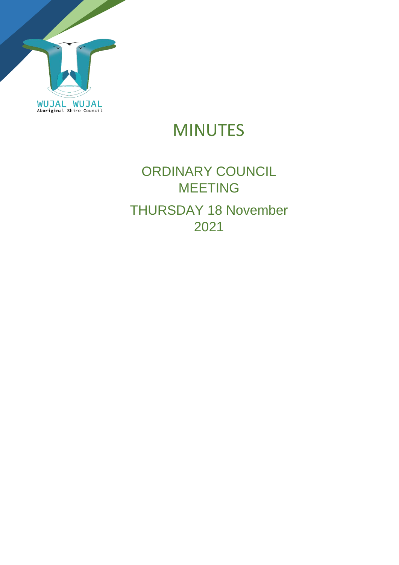

# MINUTES

# ORDINARY COUNCIL MEETING THURSDAY 18 November 2021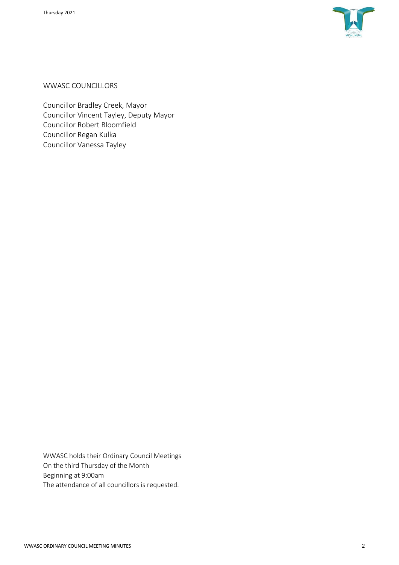

WWASC COUNCILLORS

Councillor Bradley Creek, Mayor Councillor Vincent Tayley, Deputy Mayor Councillor Robert Bloomfield Councillor Regan Kulka Councillor Vanessa Tayley

WWASC holds their Ordinary Council Meetings On the third Thursday of the Month Beginning at 9:00am The attendance of all councillors is requested.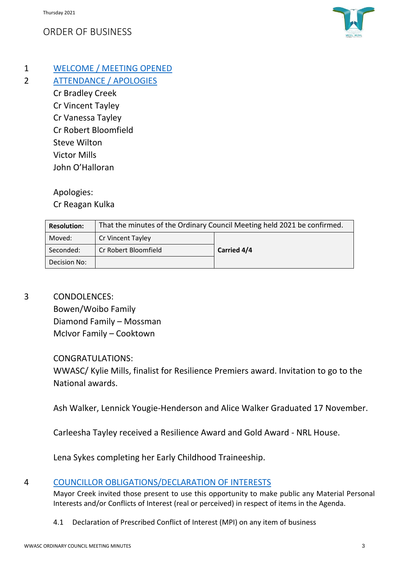## ORDER OF BUSINESS



1 WELCOME / MEETING OPENED

2 ATTENDANCE / APOLOGIES

Cr Bradley Creek Cr Vincent Tayley Cr Vanessa Tayley Cr Robert Bloomfield Steve Wilton Victor Mills John O'Halloran

Apologies:

Cr Reagan Kulka

| <b>Resolution:</b> | That the minutes of the Ordinary Council Meeting held 2021 be confirmed. |             |
|--------------------|--------------------------------------------------------------------------|-------------|
| Moved:             | <b>Cr Vincent Tayley</b>                                                 |             |
| Seconded:          | Cr Robert Bloomfield                                                     | Carried 4/4 |
| Decision No:       |                                                                          |             |

3 CONDOLENCES:

Bowen/Woibo Family Diamond Family – Mossman McIvor Family – Cooktown

## CONGRATULATIONS:

WWASC/ Kylie Mills, finalist for Resilience Premiers award. Invitation to go to the National awards.

Ash Walker, Lennick Yougie-Henderson and Alice Walker Graduated 17 November.

Carleesha Tayley received a Resilience Award and Gold Award - NRL House.

Lena Sykes completing her Early Childhood Traineeship.

## 4 COUNCILLOR OBLIGATIONS/DECLARATION OF INTERESTS

Mayor Creek invited those present to use this opportunity to make public any Material Personal Interests and/or Conflicts of Interest (real or perceived) in respect of items in the Agenda.

4.1 Declaration of Prescribed Conflict of Interest (MPI) on any item of business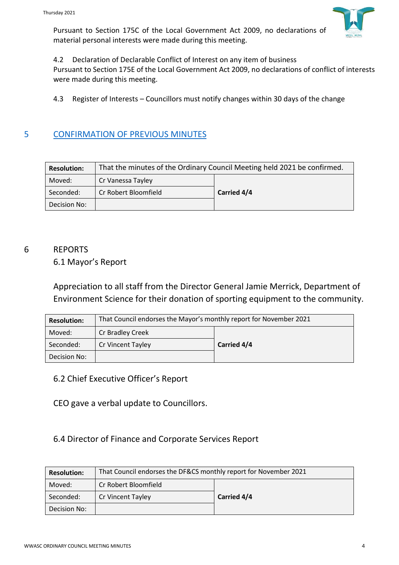Pursuant to Section 175C of the Local Government Act 2009, no declarations of material personal interests were made during this meeting.



4.2 Declaration of Declarable Conflict of Interest on any item of business

Pursuant to Section 175E of the Local Government Act 2009, no declarations of conflict of interests were made during this meeting.

4.3 Register of Interests – Councillors must notify changes within 30 days of the change

#### 5 CONFIRMATION OF PREVIOUS MINUTES

| <b>Resolution:</b> | That the minutes of the Ordinary Council Meeting held 2021 be confirmed. |             |
|--------------------|--------------------------------------------------------------------------|-------------|
| Moved:             | Cr Vanessa Tayley                                                        |             |
| Seconded:          | Cr Robert Bloomfield                                                     | Carried 4/4 |
| Decision No:       |                                                                          |             |

## 6 REPORTS

#### 6.1 Mayor's Report

Appreciation to all staff from the Director General Jamie Merrick, Department of Environment Science for their donation of sporting equipment to the community.

| <b>Resolution:</b> | That Council endorses the Mayor's monthly report for November 2021 |             |
|--------------------|--------------------------------------------------------------------|-------------|
| Moved:             | Cr Bradley Creek                                                   |             |
| Seconded:          | Cr Vincent Tayley                                                  | Carried 4/4 |
| Decision No:       |                                                                    |             |

#### 6.2 Chief Executive Officer's Report

CEO gave a verbal update to Councillors.

#### 6.4 Director of Finance and Corporate Services Report

| <b>Resolution:</b> | That Council endorses the DF&CS monthly report for November 2021 |             |  |
|--------------------|------------------------------------------------------------------|-------------|--|
| Moved:             | Cr Robert Bloomfield                                             |             |  |
| Seconded:          | Cr Vincent Tayley                                                | Carried 4/4 |  |
| Decision No:       |                                                                  |             |  |